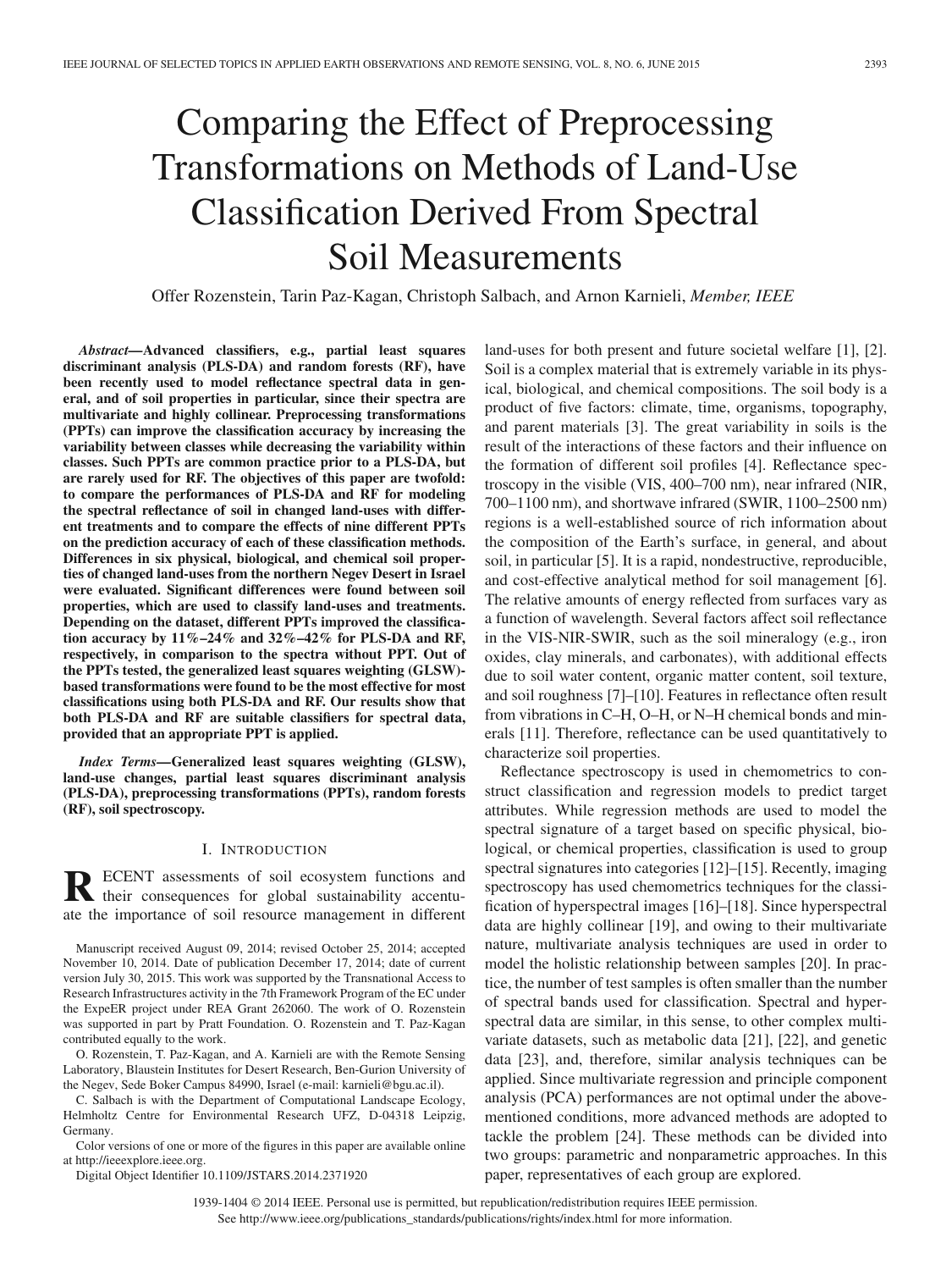# Comparing the Effect of Preprocessing Transformations on Methods of Land-Use Classification Derived From Spectral Soil Measurements

Offer Rozenstein, Tarin Paz-Kagan, Christoph Salbach, and Arnon Karnieli, *Member, IEEE*

*Abstract—***Advanced classifiers, e.g., partial least squares discriminant analysis (PLS-DA) and random forests (RF), have been recently used to model reflectance spectral data in general, and of soil properties in particular, since their spectra are multivariate and highly collinear. Preprocessing transformations (PPTs) can improve the classification accuracy by increasing the variability between classes while decreasing the variability within classes. Such PPTs are common practice prior to a PLS-DA, but are rarely used for RF. The objectives of this paper are twofold: to compare the performances of PLS-DA and RF for modeling the spectral reflectance of soil in changed land-uses with different treatments and to compare the effects of nine different PPTs on the prediction accuracy of each of these classification methods. Differences in six physical, biological, and chemical soil properties of changed land-uses from the northern Negev Desert in Israel were evaluated. Significant differences were found between soil properties, which are used to classify land-uses and treatments. Depending on the dataset, different PPTs improved the classification accuracy by 11%–24% and 32%–42% for PLS-DA and RF, respectively, in comparison to the spectra without PPT. Out of the PPTs tested, the generalized least squares weighting (GLSW) based transformations were found to be the most effective for most classifications using both PLS-DA and RF. Our results show that both PLS-DA and RF are suitable classifiers for spectral data, provided that an appropriate PPT is applied.**

*Index Terms—***Generalized least squares weighting (GLSW), land-use changes, partial least squares discriminant analysis (PLS-DA), preprocessing transformations (PPTs), random forests (RF), soil spectroscopy.**

#### I. INTRODUCTION

**R** ECENT assessments of soil ecosystem functions and their consequences for global sustainability accentutheir consequences for global sustainability accentuate the importance of soil resource management in different

Manuscript received August 09, 2014; revised October 25, 2014; accepted November 10, 2014. Date of publication December 17, 2014; date of current version July 30, 2015. This work was supported by the Transnational Access to Research Infrastructures activity in the 7th Framework Program of the EC under the ExpeER project under REA Grant 262060. The work of O. Rozenstein was supported in part by Pratt Foundation. O. Rozenstein and T. Paz-Kagan contributed equally to the work.

O. Rozenstein, T. Paz-Kagan, and A. Karnieli are with the Remote Sensing Laboratory, Blaustein Institutes for Desert Research, Ben-Gurion University of the Negev, Sede Boker Campus 84990, Israel (e-mail: karnieli@bgu.ac.il).

C. Salbach is with the Department of Computational Landscape Ecology, Helmholtz Centre for Environmental Research UFZ, D-04318 Leipzig, Germany.

Color versions of one or more of the figures in this paper are available online at http://ieeexplore.ieee.org.

Digital Object Identifier 10.1109/JSTARS.2014.2371920

land-uses for both present and future societal welfare [1], [2]. Soil is a complex material that is extremely variable in its physical, biological, and chemical compositions. The soil body is a product of five factors: climate, time, organisms, topography, and parent materials [3]. The great variability in soils is the result of the interactions of these factors and their influence on the formation of different soil profiles [4]. Reflectance spectroscopy in the visible (VIS, 400–700 nm), near infrared (NIR, 700–1100 nm), and shortwave infrared (SWIR, 1100–2500 nm) regions is a well-established source of rich information about the composition of the Earth's surface, in general, and about soil, in particular [5]. It is a rapid, nondestructive, reproducible, and cost-effective analytical method for soil management [6]. The relative amounts of energy reflected from surfaces vary as a function of wavelength. Several factors affect soil reflectance in the VIS-NIR-SWIR, such as the soil mineralogy (e.g., iron oxides, clay minerals, and carbonates), with additional effects due to soil water content, organic matter content, soil texture, and soil roughness [7]–[10]. Features in reflectance often result from vibrations in C–H, O–H, or N–H chemical bonds and minerals [11]. Therefore, reflectance can be used quantitatively to characterize soil properties.

Reflectance spectroscopy is used in chemometrics to construct classification and regression models to predict target attributes. While regression methods are used to model the spectral signature of a target based on specific physical, biological, or chemical properties, classification is used to group spectral signatures into categories [12]–[15]. Recently, imaging spectroscopy has used chemometrics techniques for the classification of hyperspectral images [16]–[18]. Since hyperspectral data are highly collinear [19], and owing to their multivariate nature, multivariate analysis techniques are used in order to model the holistic relationship between samples [20]. In practice, the number of test samples is often smaller than the number of spectral bands used for classification. Spectral and hyperspectral data are similar, in this sense, to other complex multivariate datasets, such as metabolic data [21], [22], and genetic data [23], and, therefore, similar analysis techniques can be applied. Since multivariate regression and principle component analysis (PCA) performances are not optimal under the abovementioned conditions, more advanced methods are adopted to tackle the problem [24]. These methods can be divided into two groups: parametric and nonparametric approaches. In this paper, representatives of each group are explored.

1939-1404 © 2014 IEEE. Personal use is permitted, but republication/redistribution requires IEEE permission.

See http://www.ieee.org/publications\_standards/publications/rights/index.html for more information.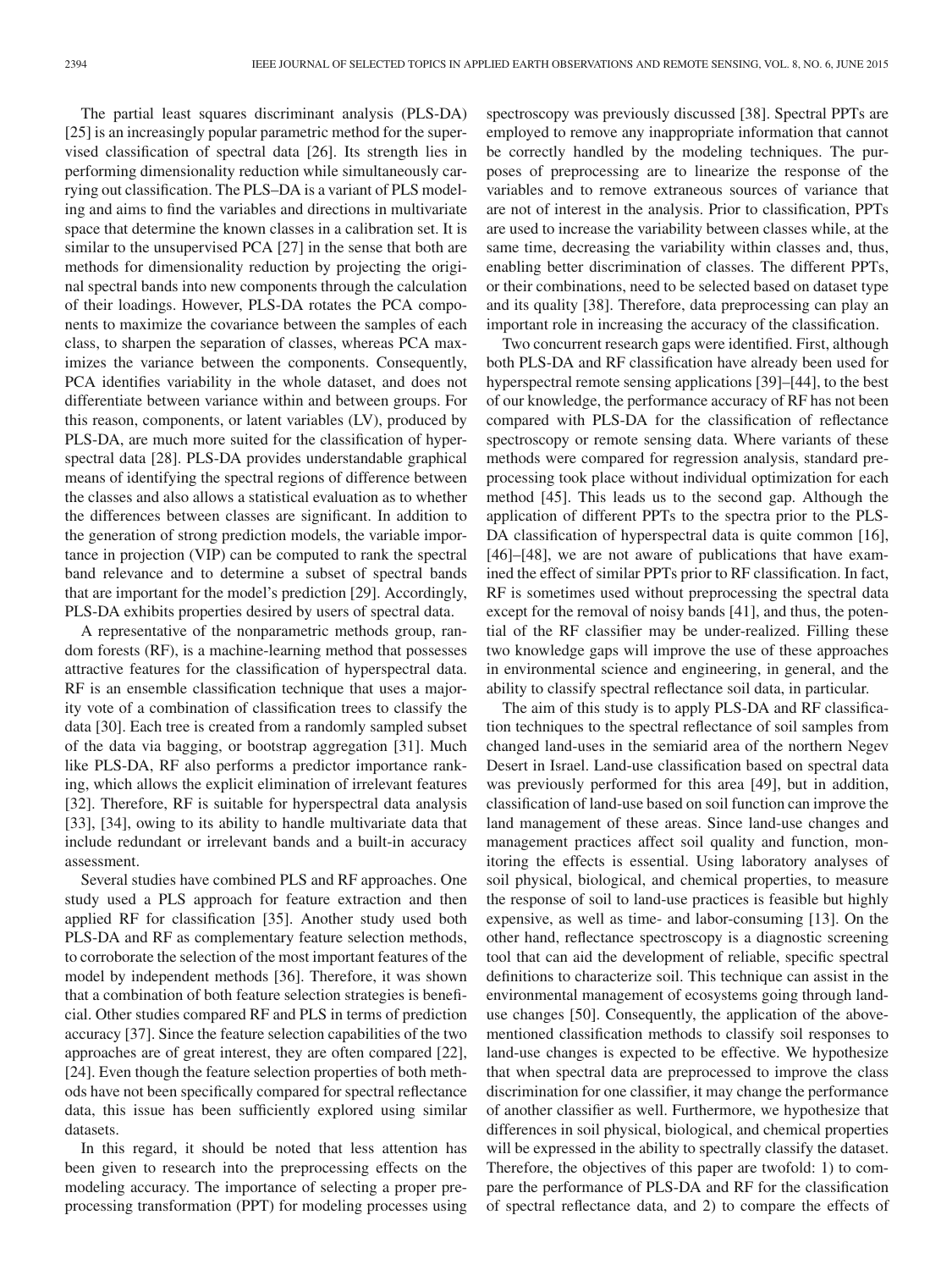The partial least squares discriminant analysis (PLS-DA) [25] is an increasingly popular parametric method for the supervised classification of spectral data [26]. Its strength lies in performing dimensionality reduction while simultaneously carrying out classification. The PLS–DA is a variant of PLS modeling and aims to find the variables and directions in multivariate space that determine the known classes in a calibration set. It is similar to the unsupervised PCA [27] in the sense that both are methods for dimensionality reduction by projecting the original spectral bands into new components through the calculation of their loadings. However, PLS-DA rotates the PCA components to maximize the covariance between the samples of each class, to sharpen the separation of classes, whereas PCA maximizes the variance between the components. Consequently, PCA identifies variability in the whole dataset, and does not differentiate between variance within and between groups. For this reason, components, or latent variables (LV), produced by PLS-DA, are much more suited for the classification of hyperspectral data [28]. PLS-DA provides understandable graphical means of identifying the spectral regions of difference between the classes and also allows a statistical evaluation as to whether the differences between classes are significant. In addition to the generation of strong prediction models, the variable importance in projection (VIP) can be computed to rank the spectral band relevance and to determine a subset of spectral bands that are important for the model's prediction [29]. Accordingly, PLS-DA exhibits properties desired by users of spectral data.

A representative of the nonparametric methods group, random forests (RF), is a machine-learning method that possesses attractive features for the classification of hyperspectral data. RF is an ensemble classification technique that uses a majority vote of a combination of classification trees to classify the data [30]. Each tree is created from a randomly sampled subset of the data via bagging, or bootstrap aggregation [31]. Much like PLS-DA, RF also performs a predictor importance ranking, which allows the explicit elimination of irrelevant features [32]. Therefore, RF is suitable for hyperspectral data analysis [33], [34], owing to its ability to handle multivariate data that include redundant or irrelevant bands and a built-in accuracy assessment.

Several studies have combined PLS and RF approaches. One study used a PLS approach for feature extraction and then applied RF for classification [35]. Another study used both PLS-DA and RF as complementary feature selection methods, to corroborate the selection of the most important features of the model by independent methods [36]. Therefore, it was shown that a combination of both feature selection strategies is beneficial. Other studies compared RF and PLS in terms of prediction accuracy [37]. Since the feature selection capabilities of the two approaches are of great interest, they are often compared [22], [24]. Even though the feature selection properties of both methods have not been specifically compared for spectral reflectance data, this issue has been sufficiently explored using similar datasets.

In this regard, it should be noted that less attention has been given to research into the preprocessing effects on the modeling accuracy. The importance of selecting a proper preprocessing transformation (PPT) for modeling processes using spectroscopy was previously discussed [38]. Spectral PPTs are employed to remove any inappropriate information that cannot be correctly handled by the modeling techniques. The purposes of preprocessing are to linearize the response of the variables and to remove extraneous sources of variance that are not of interest in the analysis. Prior to classification, PPTs are used to increase the variability between classes while, at the same time, decreasing the variability within classes and, thus, enabling better discrimination of classes. The different PPTs, or their combinations, need to be selected based on dataset type and its quality [38]. Therefore, data preprocessing can play an important role in increasing the accuracy of the classification.

Two concurrent research gaps were identified. First, although both PLS-DA and RF classification have already been used for hyperspectral remote sensing applications [39]–[44], to the best of our knowledge, the performance accuracy of RF has not been compared with PLS-DA for the classification of reflectance spectroscopy or remote sensing data. Where variants of these methods were compared for regression analysis, standard preprocessing took place without individual optimization for each method [45]. This leads us to the second gap. Although the application of different PPTs to the spectra prior to the PLS-DA classification of hyperspectral data is quite common [16], [46]–[48], we are not aware of publications that have examined the effect of similar PPTs prior to RF classification. In fact, RF is sometimes used without preprocessing the spectral data except for the removal of noisy bands [41], and thus, the potential of the RF classifier may be under-realized. Filling these two knowledge gaps will improve the use of these approaches in environmental science and engineering, in general, and the ability to classify spectral reflectance soil data, in particular.

The aim of this study is to apply PLS-DA and RF classification techniques to the spectral reflectance of soil samples from changed land-uses in the semiarid area of the northern Negev Desert in Israel. Land-use classification based on spectral data was previously performed for this area [49], but in addition, classification of land-use based on soil function can improve the land management of these areas. Since land-use changes and management practices affect soil quality and function, monitoring the effects is essential. Using laboratory analyses of soil physical, biological, and chemical properties, to measure the response of soil to land-use practices is feasible but highly expensive, as well as time- and labor-consuming [13]. On the other hand, reflectance spectroscopy is a diagnostic screening tool that can aid the development of reliable, specific spectral definitions to characterize soil. This technique can assist in the environmental management of ecosystems going through landuse changes [50]. Consequently, the application of the abovementioned classification methods to classify soil responses to land-use changes is expected to be effective. We hypothesize that when spectral data are preprocessed to improve the class discrimination for one classifier, it may change the performance of another classifier as well. Furthermore, we hypothesize that differences in soil physical, biological, and chemical properties will be expressed in the ability to spectrally classify the dataset. Therefore, the objectives of this paper are twofold: 1) to compare the performance of PLS-DA and RF for the classification of spectral reflectance data, and 2) to compare the effects of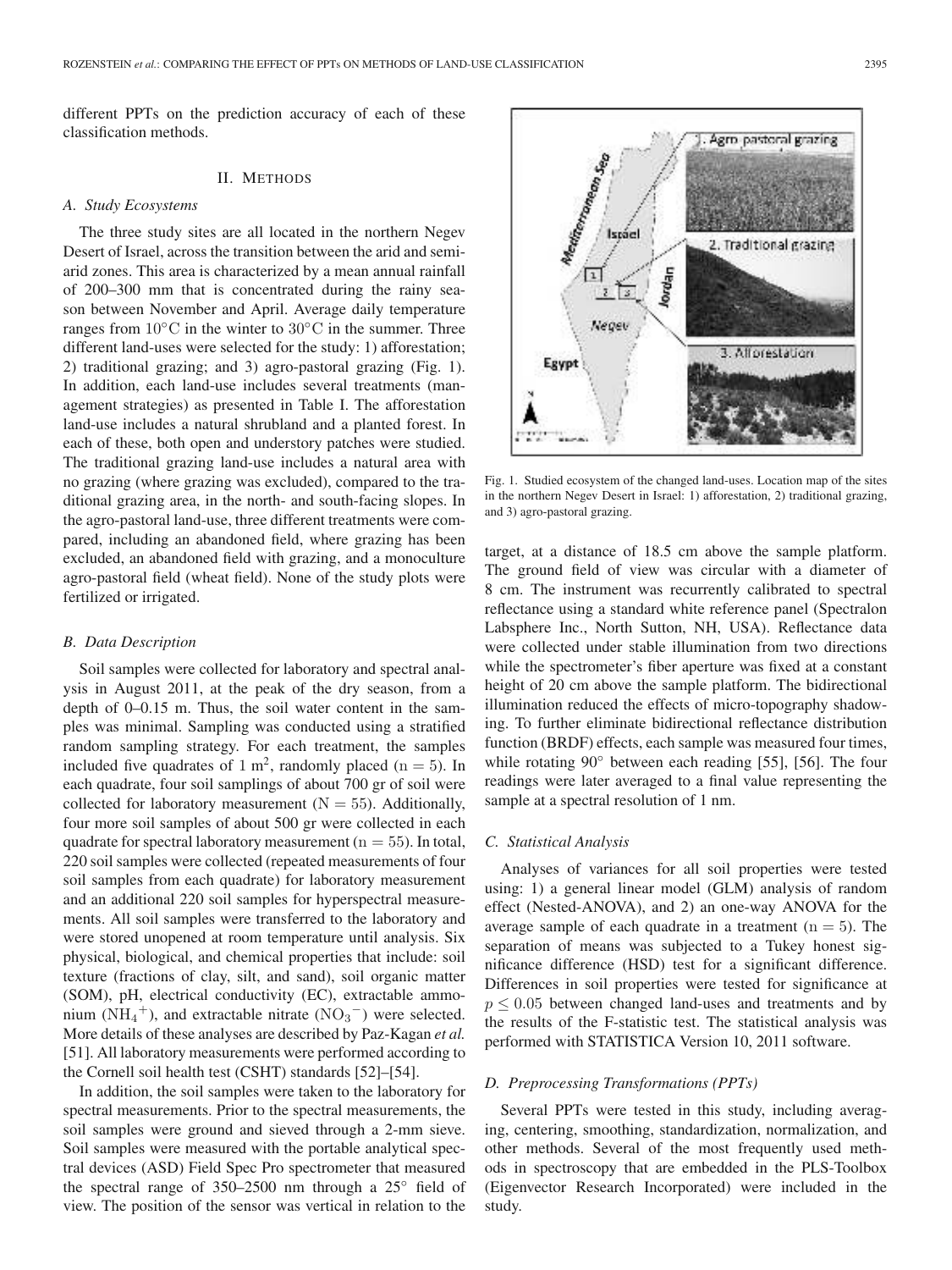different PPTs on the prediction accuracy of each of these classification methods.

#### II. METHODS

#### *A. Study Ecosystems*

The three study sites are all located in the northern Negev Desert of Israel, across the transition between the arid and semiarid zones. This area is characterized by a mean annual rainfall of 200–300 mm that is concentrated during the rainy season between November and April. Average daily temperature ranges from  $10\degree$ C in the winter to  $30\degree$ C in the summer. Three different land-uses were selected for the study: 1) afforestation; 2) traditional grazing; and 3) agro-pastoral grazing (Fig. 1). In addition, each land-use includes several treatments (management strategies) as presented in Table I. The afforestation land-use includes a natural shrubland and a planted forest. In each of these, both open and understory patches were studied. The traditional grazing land-use includes a natural area with no grazing (where grazing was excluded), compared to the traditional grazing area, in the north- and south-facing slopes. In the agro-pastoral land-use, three different treatments were compared, including an abandoned field, where grazing has been excluded, an abandoned field with grazing, and a monoculture agro-pastoral field (wheat field). None of the study plots were fertilized or irrigated.

#### *B. Data Description*

Soil samples were collected for laboratory and spectral analysis in August 2011, at the peak of the dry season, from a depth of 0–0.15 m. Thus, the soil water content in the samples was minimal. Sampling was conducted using a stratified random sampling strategy. For each treatment, the samples included five quadrates of  $1 \text{ m}^2$ , randomly placed ( $n=5$ ). In each quadrate, four soil samplings of about 700 gr of soil were collected for laboratory measurement ( $N = 55$ ). Additionally, four more soil samples of about 500 gr were collected in each quadrate for spectral laboratory measurement ( $n = 55$ ). In total, 220 soil samples were collected (repeated measurements of four soil samples from each quadrate) for laboratory measurement and an additional 220 soil samples for hyperspectral measurements. All soil samples were transferred to the laboratory and were stored unopened at room temperature until analysis. Six physical, biological, and chemical properties that include: soil texture (fractions of clay, silt, and sand), soil organic matter (SOM), pH, electrical conductivity (EC), extractable ammonium  $(NH_4^+)$ , and extractable nitrate  $(NO_3^-)$  were selected. More details of these analyses are described by Paz-Kagan *et al.* [51]. All laboratory measurements were performed according to the Cornell soil health test (CSHT) standards [52]–[54].

In addition, the soil samples were taken to the laboratory for spectral measurements. Prior to the spectral measurements, the soil samples were ground and sieved through a 2-mm sieve. Soil samples were measured with the portable analytical spectral devices (ASD) Field Spec Pro spectrometer that measured the spectral range of  $350-2500$  nm through a  $25^\circ$  field of view. The position of the sensor was vertical in relation to the



target, at a distance of 18.5 cm above the sample platform. The ground field of view was circular with a diameter of 8 cm. The instrument was recurrently calibrated to spectral reflectance using a standard white reference panel (Spectralon Labsphere Inc., North Sutton, NH, USA). Reflectance data were collected under stable illumination from two directions while the spectrometer's fiber aperture was fixed at a constant height of 20 cm above the sample platform. The bidirectional illumination reduced the effects of micro-topography shadowing. To further eliminate bidirectional reflectance distribution function (BRDF) effects, each sample was measured four times, while rotating 90◦ between each reading [55], [56]. The four readings were later averaged to a final value representing the sample at a spectral resolution of 1 nm.

#### *C. Statistical Analysis*

Analyses of variances for all soil properties were tested using: 1) a general linear model (GLM) analysis of random effect (Nested-ANOVA), and 2) an one-way ANOVA for the average sample of each quadrate in a treatment  $(n=5)$ . The separation of means was subjected to a Tukey honest significance difference (HSD) test for a significant difference. Differences in soil properties were tested for significance at  $p \leq 0.05$  between changed land-uses and treatments and by the results of the F-statistic test. The statistical analysis was performed with STATISTICA Version 10, 2011 software.

# *D. Preprocessing Transformations (PPTs)*

Several PPTs were tested in this study, including averaging, centering, smoothing, standardization, normalization, and other methods. Several of the most frequently used methods in spectroscopy that are embedded in the PLS-Toolbox (Eigenvector Research Incorporated) were included in the study.

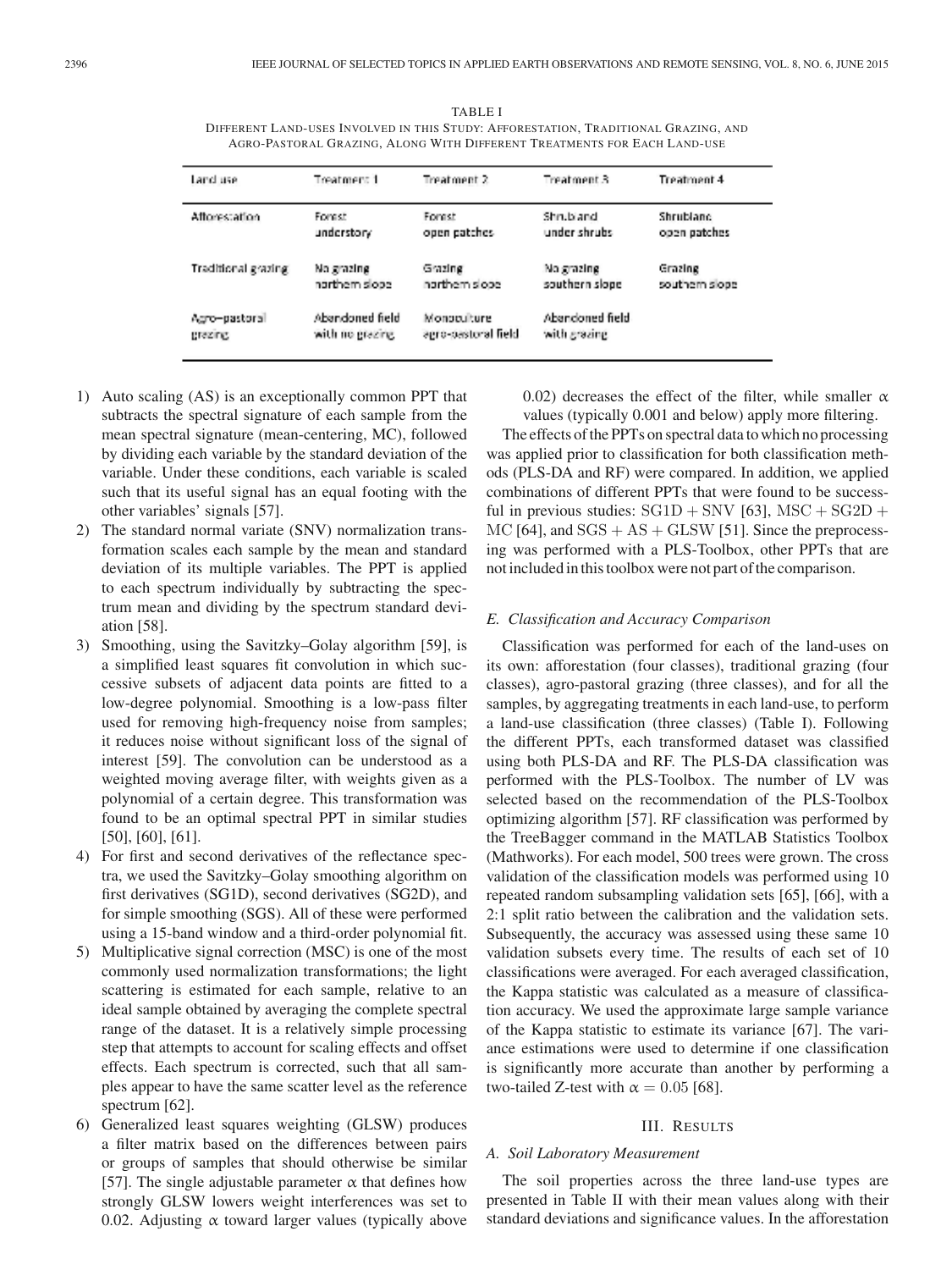TABLE I DIFFERENT LAND-USES INVOLVED IN THIS STUDY: AFFORESTATION, TRADITIONAL GRAZING, AND AGRO-PASTORAL GRAZING, ALONG WITH DIFFERENT TREATMENTS FOR EACH LAND-USE

| Land use.           | Treatment 1      | Treatment 2          | Treatment 3     | <b>Treatment 4</b> |
|---------------------|------------------|----------------------|-----------------|--------------------|
| Afforestation       | Forest           | Forest               | Shrubland       | <b>Shrublanc</b>   |
|                     | understory       | open patches         | under shrubs.   | open patches       |
| Traditional grazing | No grazing       | Grazing              | No grazing      | Grazing            |
|                     | harthem slope    | narthem slope        | southern slope  | southern slope     |
| Agro-pastoral       | Abandoned field  | Monopulture          | Abendoned field |                    |
| <b>Brazing</b>      | with no grazing. | agro-pastoral field. | with grazing    |                    |

- 1) Auto scaling (AS) is an exceptionally common PPT that subtracts the spectral signature of each sample from the mean spectral signature (mean-centering, MC), followed by dividing each variable by the standard deviation of the variable. Under these conditions, each variable is scaled such that its useful signal has an equal footing with the other variables' signals [57].
- 2) The standard normal variate (SNV) normalization transformation scales each sample by the mean and standard deviation of its multiple variables. The PPT is applied to each spectrum individually by subtracting the spectrum mean and dividing by the spectrum standard deviation [58].
- 3) Smoothing, using the Savitzky–Golay algorithm [59], is a simplified least squares fit convolution in which successive subsets of adjacent data points are fitted to a low-degree polynomial. Smoothing is a low-pass filter used for removing high-frequency noise from samples; it reduces noise without significant loss of the signal of interest [59]. The convolution can be understood as a weighted moving average filter, with weights given as a polynomial of a certain degree. This transformation was found to be an optimal spectral PPT in similar studies [50], [60], [61].
- 4) For first and second derivatives of the reflectance spectra, we used the Savitzky–Golay smoothing algorithm on first derivatives (SG1D), second derivatives (SG2D), and for simple smoothing (SGS). All of these were performed using a 15-band window and a third-order polynomial fit.
- 5) Multiplicative signal correction (MSC) is one of the most commonly used normalization transformations; the light scattering is estimated for each sample, relative to an ideal sample obtained by averaging the complete spectral range of the dataset. It is a relatively simple processing step that attempts to account for scaling effects and offset effects. Each spectrum is corrected, such that all samples appear to have the same scatter level as the reference spectrum [62].
- 6) Generalized least squares weighting (GLSW) produces a filter matrix based on the differences between pairs or groups of samples that should otherwise be similar [57]. The single adjustable parameter  $\alpha$  that defines how strongly GLSW lowers weight interferences was set to 0.02. Adjusting  $\alpha$  toward larger values (typically above

0.02) decreases the effect of the filter, while smaller  $\alpha$ values (typically 0.001 and below) apply more filtering.

The effects of the PPTs on spectral data to which no processing was applied prior to classification for both classification methods (PLS-DA and RF) were compared. In addition, we applied combinations of different PPTs that were found to be successful in previous studies:  $SG1D + SNV$  [63],  $MSC + SQ2D +$  $MC$  [64], and  $SGS + AS + GLSW$  [51]. Since the preprocessing was performed with a PLS-Toolbox, other PPTs that are not included in this toolbox were not part of the comparison.

## *E. Classification and Accuracy Comparison*

Classification was performed for each of the land-uses on its own: afforestation (four classes), traditional grazing (four classes), agro-pastoral grazing (three classes), and for all the samples, by aggregating treatments in each land-use, to perform a land-use classification (three classes) (Table I). Following the different PPTs, each transformed dataset was classified using both PLS-DA and RF. The PLS-DA classification was performed with the PLS-Toolbox. The number of LV was selected based on the recommendation of the PLS-Toolbox optimizing algorithm [57]. RF classification was performed by the TreeBagger command in the MATLAB Statistics Toolbox (Mathworks). For each model, 500 trees were grown. The cross validation of the classification models was performed using 10 repeated random subsampling validation sets [65], [66], with a 2:1 split ratio between the calibration and the validation sets. Subsequently, the accuracy was assessed using these same 10 validation subsets every time. The results of each set of 10 classifications were averaged. For each averaged classification, the Kappa statistic was calculated as a measure of classification accuracy. We used the approximate large sample variance of the Kappa statistic to estimate its variance [67]. The variance estimations were used to determine if one classification is significantly more accurate than another by performing a two-tailed Z-test with  $\alpha = 0.05$  [68].

#### III. RESULTS

## *A. Soil Laboratory Measurement*

The soil properties across the three land-use types are presented in Table II with their mean values along with their standard deviations and significance values. In the afforestation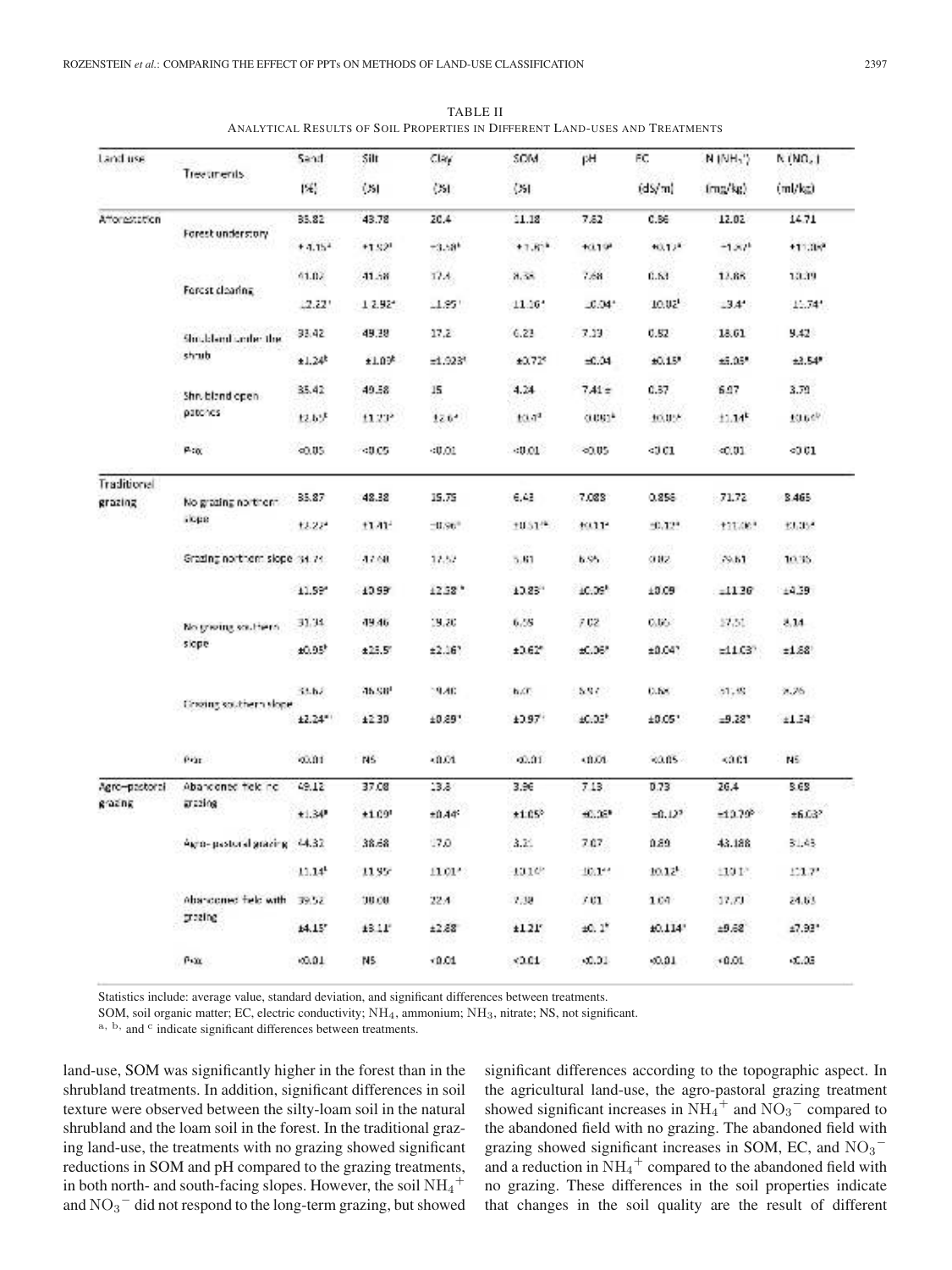| Land use                           |                                | Sand                 | Silt                  | Clay                  | SOM        | pH                   | EC.                  | N (NH3)              | N (NO <sub>2</sub> ) |
|------------------------------------|--------------------------------|----------------------|-----------------------|-----------------------|------------|----------------------|----------------------|----------------------|----------------------|
|                                    | Treatments:                    | 医.                   | (3)                   | ाड                    | OSI.       |                      | (dS/m)               | (mz/kg)              | (mijkz)              |
| Afforestation<br>Forest understory |                                | 35.82                | 43.78                 | 20.4                  | 1.12       | 7.62                 | 0.56                 | 12.02                | 14.71                |
|                                    |                                | $+ 4.15 +$           | +1.925                | $-3.58^{\circ}$       | $+7.81$    | $+0.19^{4}$          | 40.124               | $-1.87$ <sup>1</sup> | +11.045              |
|                                    |                                | 41.02                | 41.58                 | 17A.                  | 82.8       | 7.68                 | 0.63                 | 12.88                | 13.39                |
| Forest clearing                    |                                | $2.22^{\circ}$       | $1.2.92$ <sup>*</sup> | 1.85                  | 11.262     | $0.04^{\circ}$       | 10.02                | $-3.4$               | 15541                |
|                                    | Should and under the           | 33.42                | 49.38                 | $17.2^{\circ}$        | 6.23       | 7.33                 | 0.82                 | 18.61                | 9.42                 |
|                                    | shrub                          | $+1.24$              | +1.03*                | $-1.923$ <sup>*</sup> | ±0.725     | $+0.04$              | $±0.15$ <sup>*</sup> | £5.05*               | $±3.54$ *            |
|                                    | Shr. bland open                | 35.42                | 49.58                 | 15                    | 4.24       | $7.41 \pm$           | 0.37                 | 6.97                 | 3.79                 |
|                                    | patches                        | 12.65                | f123 <sup>2</sup>     | 12.64                 | $10.7^{2}$ | $(108)^{11}$         | 10.055               | 11.14 <sup>k</sup>   | 10647                |
|                                    | $P = 30$                       | $-0.05$              | $-0.05$               | $-0.01$               | $-0.01$    | $-0.05$              | <3 Cl                | $-0.01$              | -001                 |
| Traditional<br>grazing             | No grazing no them.            | 35.87                | 48.38                 | 15.75                 | 6.43       | 7.083                | 0.856                | -71.72               | 8.465                |
| $i$ Cpe                            | 13.22*                         | 11.41-               | $-0.96$ <sup>*</sup>  | <b>1051*</b>          | $+0.11^2$  | $+0.124$             | 111.061              | 13.355               |                      |
|                                    | Grazing northern slope rst 74. |                      | 47.68                 | 17.52                 | 5,81       | 6.95                 | 382                  | 79.51                | 10.35.               |
|                                    |                                | 41.59*               | 1399                  | 12.52 *               | 13.23"     | $40.09$ <sup>*</sup> | 10.09                | $-1136$              | 14.39                |
|                                    | No triving southern.           | 31.34                | 49.46                 | 39,20                 | 6.58       | 702                  | 0.05                 | \$7.51               | 8.14                 |
|                                    | siope                          | $±0.95$ <sup>+</sup> | $+25.5$               | ±2.16                 | ±3.62°     | \$6.36"              | ±0.04"               | $-11C3$              | ±1.58                |
|                                    |                                | 33.62                | <b>46.585</b>         | 9.40                  | h.CF       | 597                  | 0.68                 | 51.49                | 7.76                 |
|                                    | <b>Covaing southern slope</b>  | £2.24*               | ±230                  | ±0.89*                | $±$ 3.97'  | $±0.03*$             | ±0.05                | $=9.22$ "            | ±1.54                |
|                                    | <b>Por</b>                     | 03.01                | NS.                   | (0.01)                | 63.01      | 0.01                 | 0.05                 | <3.01                | NS.                  |
| Agro-pastoral                      | Abandoned field no             | 49.12                | 37.08                 | 13.8                  | 3.96       | 7.13                 | 0.73                 | 26.4                 | <b>S.68</b>          |
| anazing<br>grazng                  | $+1.34$ <sup>*</sup>           | +1.09*               | 20.44                 | +1.05°                | 40.35      | $-0.122$             | $-10.79^{\circ}$     | $+6.037$             |                      |
|                                    | Agro-pastoral grazing 44.32    |                      | 38.68                 | 17.0                  | 3.21       | 7.07                 | 0.89                 | 43.188               | 31.43                |
|                                    |                                | 11.14                | 11.95                 | $1101$ <sup>*</sup>   | 1310       | 10.144               | 10.12                | 1101%                | ETP                  |
|                                    | Abandoned field with           | 39.52                | 10.00                 | 22.4                  | 7.38       | 701                  | 1.04                 | 12.73.               | 24.63                |
|                                    | prozing                        | 14.15"               | 13.11'                | ±2.88                 | 1121'      | ±0.1"                | ±0.114"              | ±9.62                | ±7.93*               |
|                                    | Polic                          | 00.01                | NS.                   | 0.01                  | 0.01       | 0.01                 | 0.01                 | $+0.01$              | $-0.05$              |

TABLE II ANALYTICAL RESULTS OF SOIL PROPERTIES IN DIFFERENT LAND-USES AND TREATMENTS

Statistics include: average value, standard deviation, and significant differences between treatments.

SOM, soil organic matter; EC, electric conductivity; NH<sub>4</sub>, ammonium; NH<sub>3</sub>, nitrate; NS, not significant.

a, b, and c indicate significant differences between treatments.

land-use, SOM was significantly higher in the forest than in the shrubland treatments. In addition, significant differences in soil texture were observed between the silty-loam soil in the natural shrubland and the loam soil in the forest. In the traditional grazing land-use, the treatments with no grazing showed significant reductions in SOM and pH compared to the grazing treatments, in both north- and south-facing slopes. However, the soil  $NH_4^+$ and  $NO<sub>3</sub><sup>-</sup>$  did not respond to the long-term grazing, but showed

significant differences according to the topographic aspect. In the agricultural land-use, the agro-pastoral grazing treatment showed significant increases in  $\text{NH}_4^+$  and  $\text{NO}_3^-$  compared to the abandoned field with no grazing. The abandoned field with grazing showed significant increases in SOM, EC, and  $NO_3$ <sup>-</sup> and a reduction in  $NH_4^+$  compared to the abandoned field with no grazing. These differences in the soil properties indicate that changes in the soil quality are the result of different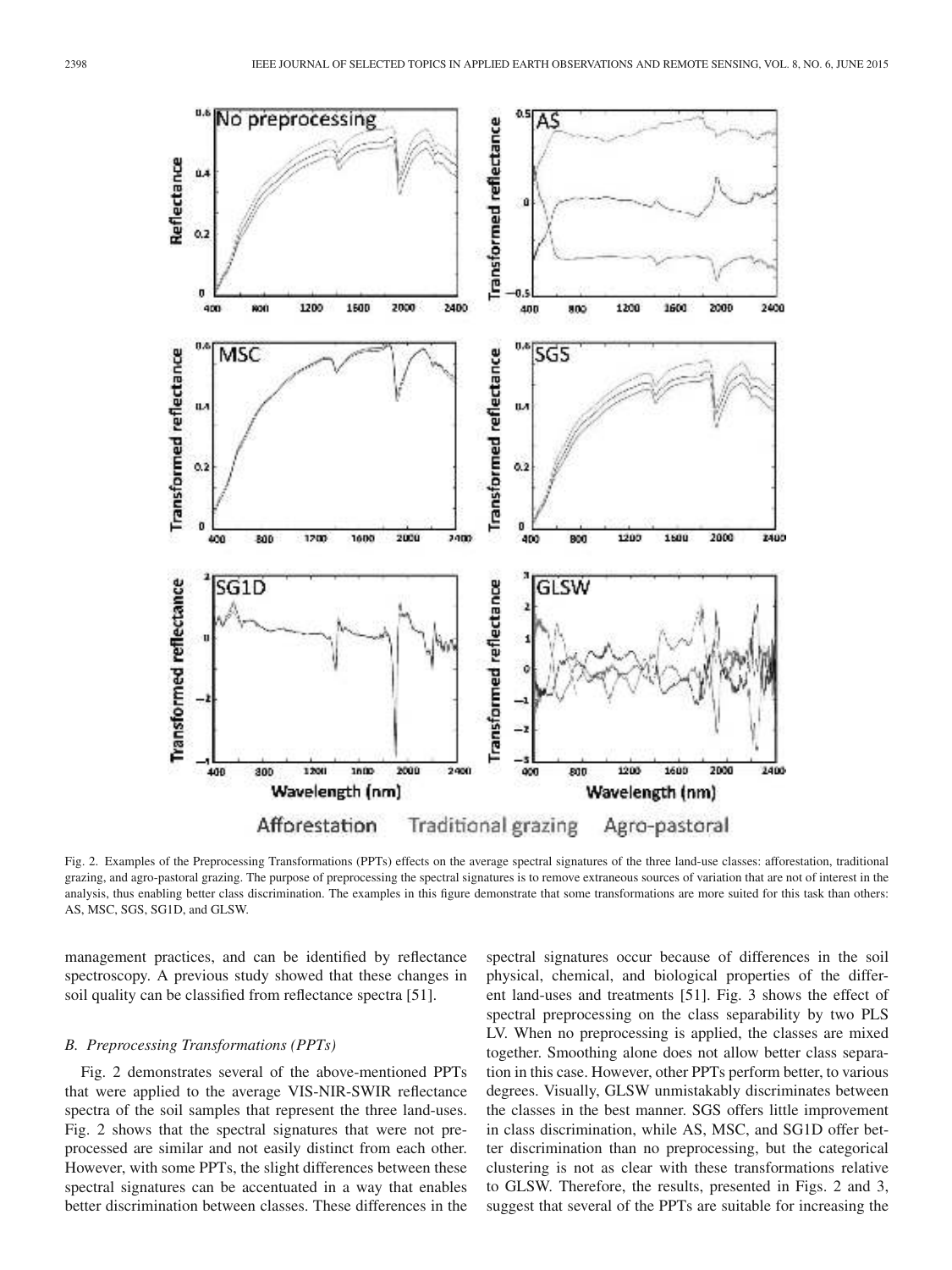

Fig. 2. Examples of the Preprocessing Transformations (PPTs) effects on the average spectral signatures of the three land-use classes: afforestation, traditional grazing, and agro-pastoral grazing. The purpose of preprocessing the spectral signatures is to remove extraneous sources of variation that are not of interest in the analysis, thus enabling better class discrimination. The examples in this figure demonstrate that some transformations are more suited for this task than others: AS, MSC, SGS, SG1D, and GLSW.

management practices, and can be identified by reflectance spectroscopy. A previous study showed that these changes in soil quality can be classified from reflectance spectra [51].

#### *B. Preprocessing Transformations (PPTs)*

Fig. 2 demonstrates several of the above-mentioned PPTs that were applied to the average VIS-NIR-SWIR reflectance spectra of the soil samples that represent the three land-uses. Fig. 2 shows that the spectral signatures that were not preprocessed are similar and not easily distinct from each other. However, with some PPTs, the slight differences between these spectral signatures can be accentuated in a way that enables better discrimination between classes. These differences in the spectral signatures occur because of differences in the soil physical, chemical, and biological properties of the different land-uses and treatments [51]. Fig. 3 shows the effect of spectral preprocessing on the class separability by two PLS LV. When no preprocessing is applied, the classes are mixed together. Smoothing alone does not allow better class separation in this case. However, other PPTs perform better, to various degrees. Visually, GLSW unmistakably discriminates between the classes in the best manner. SGS offers little improvement in class discrimination, while AS, MSC, and SG1D offer better discrimination than no preprocessing, but the categorical clustering is not as clear with these transformations relative to GLSW. Therefore, the results, presented in Figs. 2 and 3, suggest that several of the PPTs are suitable for increasing the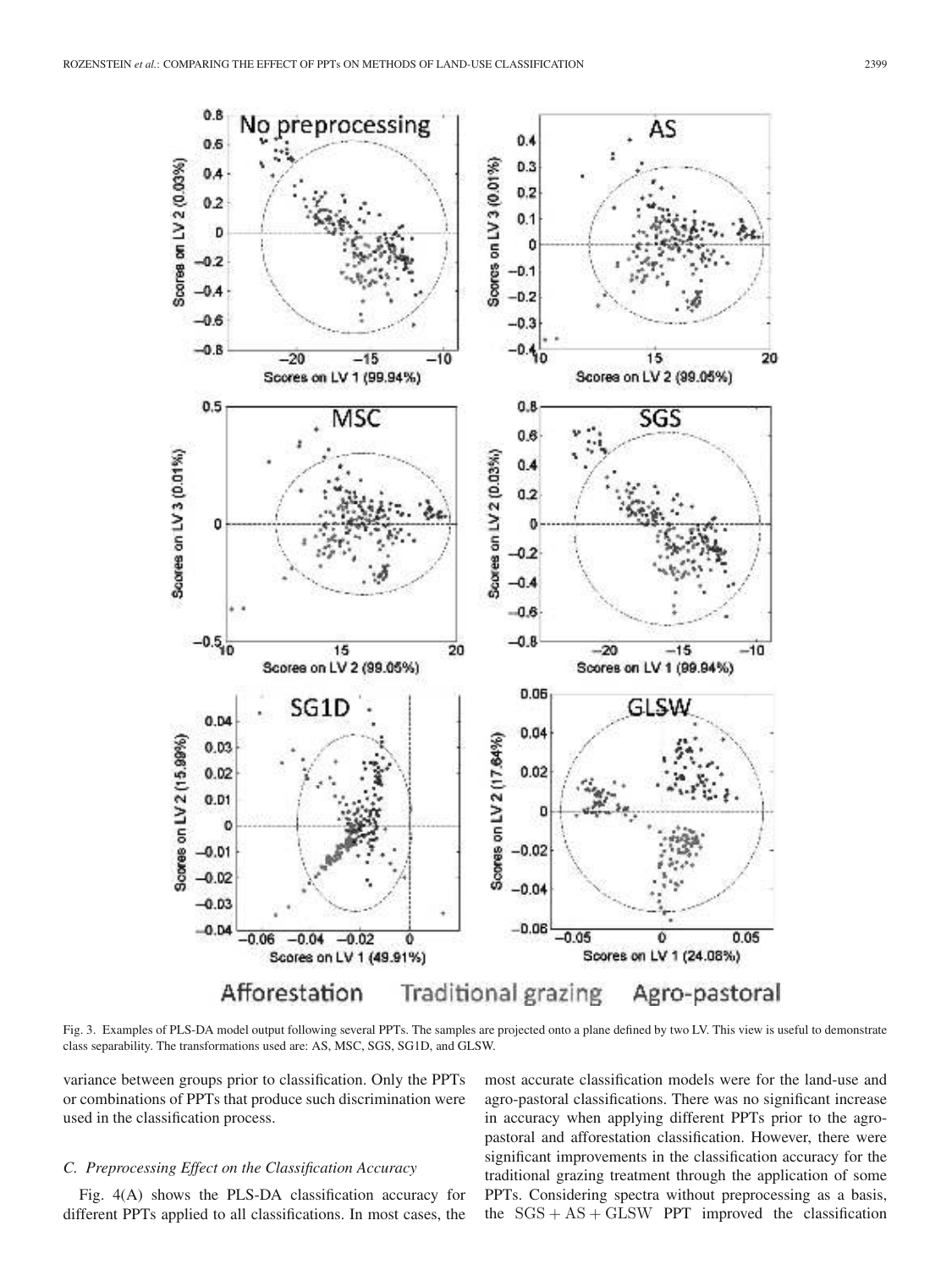

Fig. 3. Examples of PLS-DA model output following several PPTs. The samples are projected onto a plane defined by two LV. This view is useful to demonstrate class separability. The transformations used are: AS, MSC, SGS, SG1D, and GLSW.

variance between groups prior to classification. Only the PPTs or combinations of PPTs that produce such discrimination were used in the classification process.

# *C. Preprocessing Effect on the Classification Accuracy*

Fig. 4(A) shows the PLS-DA classification accuracy for different PPTs applied to all classifications. In most cases, the

most accurate classification models were for the land-use and agro-pastoral classifications. There was no significant increase in accuracy when applying different PPTs prior to the agropastoral and afforestation classification. However, there were significant improvements in the classification accuracy for the traditional grazing treatment through the application of some PPTs. Considering spectra without preprocessing as a basis, the  $SGS + AS + GLSW$  PPT improved the classification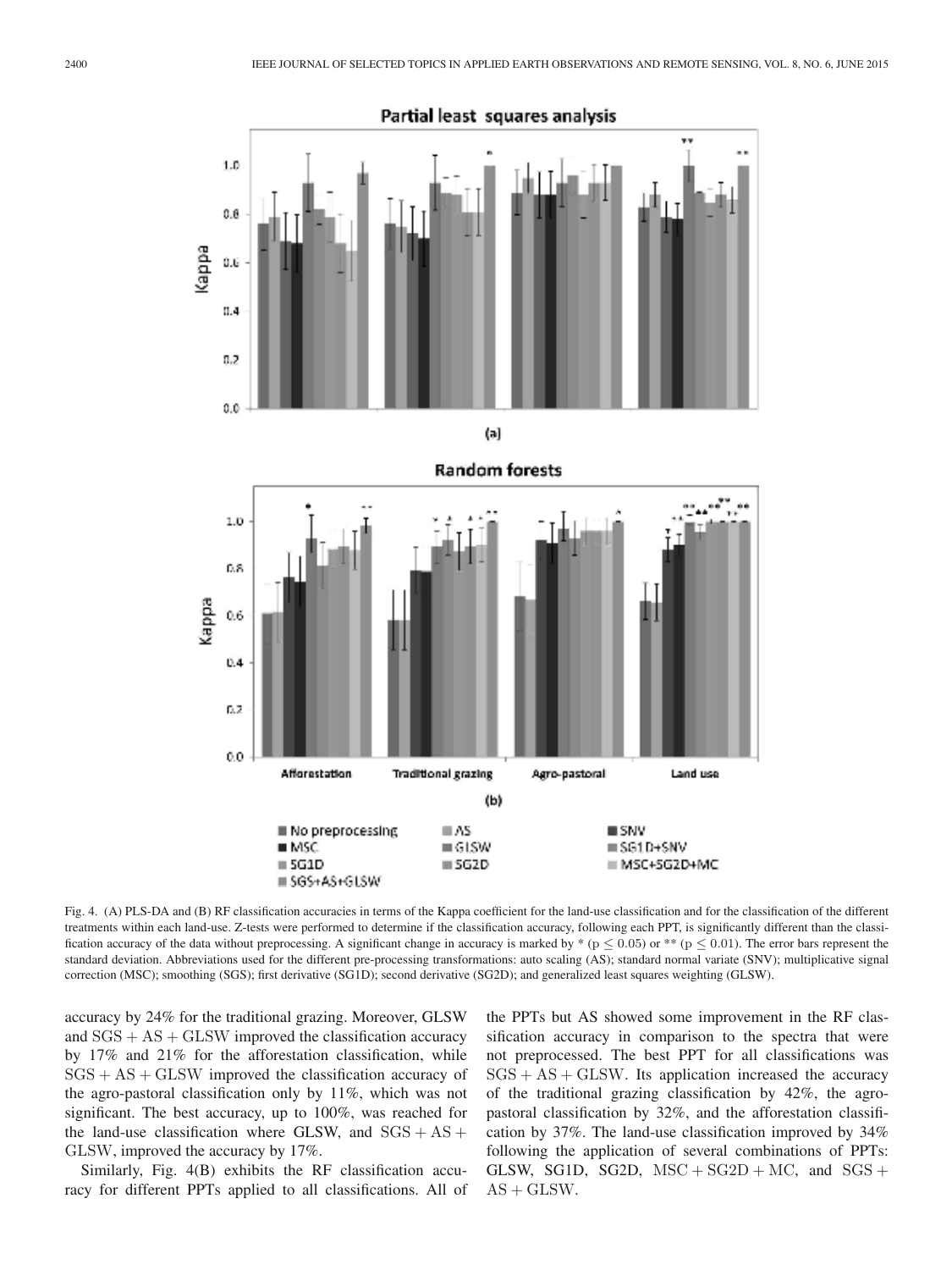

Fig. 4. (A) PLS-DA and (B) RF classification accuracies in terms of the Kappa coefficient for the land-use classification and for the classification of the different treatments within each land-use. Z-tests were performed to determine if the classification accuracy, following each PPT, is significantly different than the classification accuracy of the data without preprocessing. A significant change in accuracy is marked by \* ( $p \le 0.05$ ) or \*\* ( $p \le 0.01$ ). The error bars represent the standard deviation. Abbreviations used for the different pre-processing transformations: auto scaling (AS); standard normal variate (SNV); multiplicative signal correction (MSC); smoothing (SGS); first derivative (SG1D); second derivative (SG2D); and generalized least squares weighting (GLSW).

accuracy by 24% for the traditional grazing. Moreover, GLSW and  $SGS + AS + GLSW$  improved the classification accuracy by 17% and 21% for the afforestation classification, while  $SGS + AS + GLSW$  improved the classification accuracy of the agro-pastoral classification only by 11%, which was not significant. The best accuracy, up to 100%, was reached for the land-use classification where GLSW, and  $SGS + AS +$ GLSW, improved the accuracy by 17%.

Similarly, Fig. 4(B) exhibits the RF classification accuracy for different PPTs applied to all classifications. All of the PPTs but AS showed some improvement in the RF classification accuracy in comparison to the spectra that were not preprocessed. The best PPT for all classifications was  $SGS + AS + GLSW$ . Its application increased the accuracy of the traditional grazing classification by 42%, the agropastoral classification by 32%, and the afforestation classification by 37%. The land-use classification improved by 34% following the application of several combinations of PPTs: GLSW, SG1D, SG2D,  $MSC + SQ2D + MC$ , and  $SGS +$  $AS + GLSW.$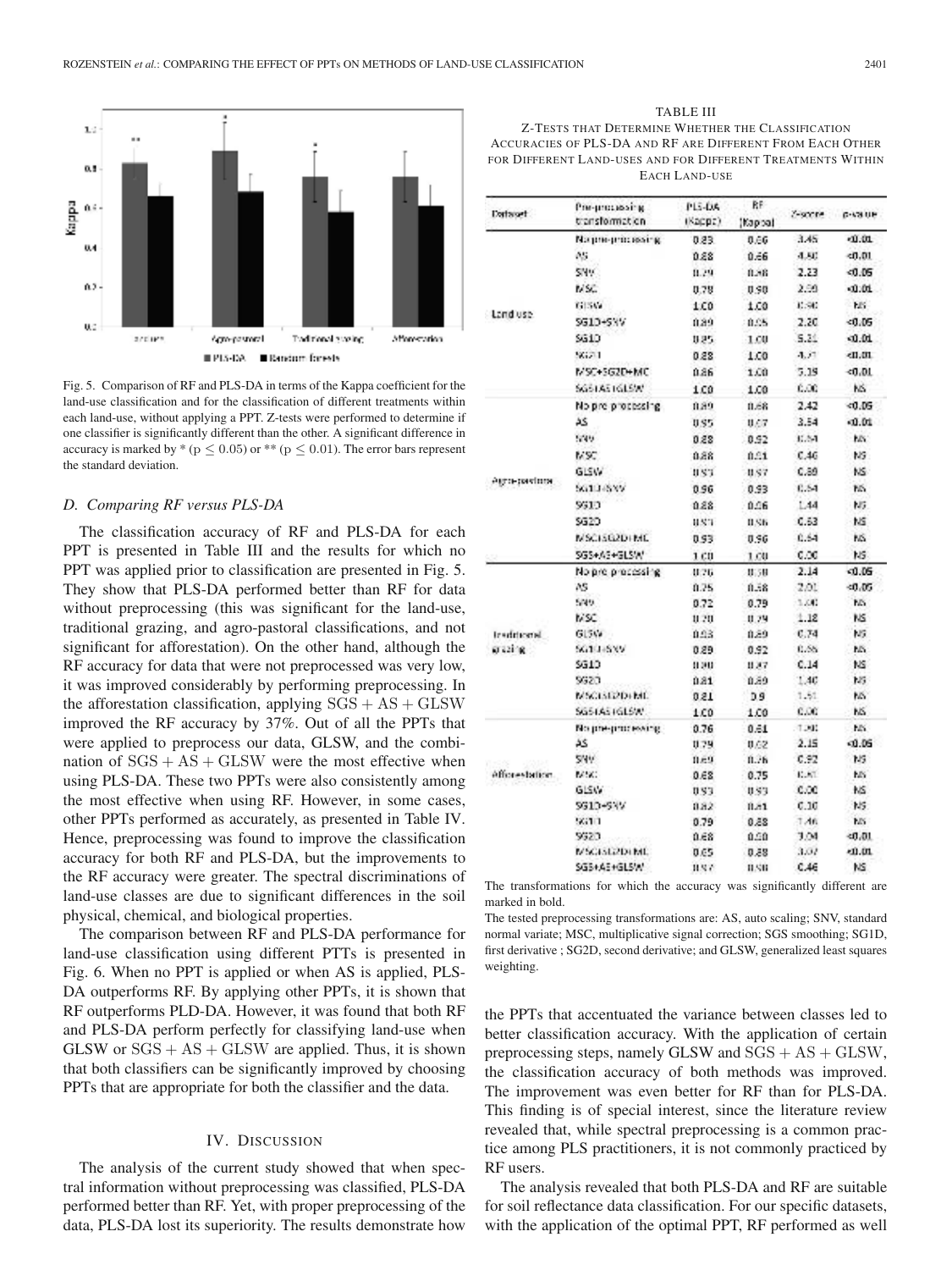

Fig. 5. Comparison of RF and PLS-DA in terms of the Kappa coefficient for the land-use classification and for the classification of different treatments within each land-use, without applying a PPT. Z-tests were performed to determine if one classifier is significantly different than the other. A significant difference in accuracy is marked by \* ( $p \le 0.05$ ) or \*\* ( $p \le 0.01$ ). The error bars represent the standard deviation.

# *D. Comparing RF versus PLS-DA*

The classification accuracy of RF and PLS-DA for each PPT is presented in Table III and the results for which no PPT was applied prior to classification are presented in Fig. 5. They show that PLS-DA performed better than RF for data without preprocessing (this was significant for the land-use, traditional grazing, and agro-pastoral classifications, and not significant for afforestation). On the other hand, although the RF accuracy for data that were not preprocessed was very low, it was improved considerably by performing preprocessing. In the afforestation classification, applying  $SGS + AS + GLSW$ improved the RF accuracy by 37%. Out of all the PPTs that were applied to preprocess our data, GLSW, and the combination of  $SGS + AS + GLSW$  were the most effective when using PLS-DA. These two PPTs were also consistently among the most effective when using RF. However, in some cases, other PPTs performed as accurately, as presented in Table IV. Hence, preprocessing was found to improve the classification accuracy for both RF and PLS-DA, but the improvements to the RF accuracy were greater. The spectral discriminations of land-use classes are due to significant differences in the soil physical, chemical, and biological properties.

The comparison between RF and PLS-DA performance for land-use classification using different PTTs is presented in Fig. 6. When no PPT is applied or when AS is applied, PLS-DA outperforms RF. By applying other PPTs, it is shown that RF outperforms PLD-DA. However, it was found that both RF and PLS-DA perform perfectly for classifying land-use when  $GLSW$  or  $SGS + AS + GLSW$  are applied. Thus, it is shown that both classifiers can be significantly improved by choosing PPTs that are appropriate for both the classifier and the data.

#### IV. DISCUSSION

The analysis of the current study showed that when spectral information without preprocessing was classified, PLS-DA performed better than RF. Yet, with proper preprocessing of the data, PLS-DA lost its superiority. The results demonstrate how

TABLE III Z-TESTS THAT DETERMINE WHETHER THE CLASSIFICATION ACCURACIES OF PLS-DA AND RF ARE DIFFERENT FROM EACH OTHER FOR DIFFERENT LAND-USES AND FOR DIFFERENT TREATMENTS WITHIN EACH LAND-USE

| Dataiont.            | Ран-рассможение<br>transformation | PLS-DA<br>(Kadpa) | RΕ<br>(Kappal  | Z-score      | <b>C-VS UP</b> |
|----------------------|-----------------------------------|-------------------|----------------|--------------|----------------|
|                      | Марти-руйскват к                  | 0.83              | 0.66           | 3.45         | $-0.01$        |
|                      | AS.                               | 0.88              | 0.66           | 4.80         | c0.01          |
|                      | <b>SNV</b>                        | 0.29              | 0.86           | 2.23         | $-0.05$        |
|                      | MSC                               | 0.78              | 0.90           | 2.59         | $-0.01$        |
|                      | <b>GISV</b>                       | 1 <sub>CD</sub>   | 1.00           | 11:540       | <b>EES</b>     |
| Land use.            | 5613+53V                          | 0.89              | 0.95           | 2.20         | $-0.05$        |
|                      | <b>SG1D</b>                       | 0.25              | 1 <sub>°</sub> | 5.24         | $-0.01$        |
|                      | <b>SG21</b>                       | 0.23              | 1.00           | 4.57         | $0.01$         |
|                      | MSC+5G2D+MC                       | 0.86              | 1.00           | 5.19         | $-0.01$        |
|                      | <b>SGSTASTGLSW</b>                | 1C0               | 1,00           | 0.00         | kS.            |
|                      | shipper or opening.               | 08.0              | 0.68           | 2.42         | $-0.05$        |
|                      | ۵Ś                                | 855               | 0.67           | 3.54         | $-0.01$        |
|                      | 5/49                              | 0.28              | 0.92           | 11.54        | KS.            |
|                      | MSC.                              | 0.88              | 0.91           | 0.46         | NS.            |
|                      | GLSW                              | 0.85              | <b>US7</b>     | 0.89         | NS.            |
| Agro-pasinos         | 5613-8397                         | 0.96              | 0.93           | 0.54         | KS.            |
|                      | 9510                              | 0.88              | 0.06           | 1.44         | NG.            |
|                      | \$620                             | 883               | II.SK          | C.53         | NS             |
|                      | MSCISG2D MC                       | 0.93              | 0.96           | 0.64         | KS.            |
|                      | 5GS+AS+GLSW                       | 1 CB              | 1.00           | 0.00         | NS.            |
|                      | No pre processing                 | 0.76              | <b>U.5B</b>    | 2.14         | $-0.05$        |
|                      | ٨S                                | 0.25              | 0.58           | 2.01         | $-0.05$        |
|                      | 520                               | 0.72              | 0.79           | 1.000        | NS.            |
|                      | MSC                               | 0.20              | 0.79           | 1.12         | NS             |
| Institucial          | G15W                              | 0.03              | 0.89           | 0.74         | NG             |
| arazine.             | <b>SG11-SYV</b>                   | 0.29              | 0.92           | 0.55         | <b>NS</b>      |
|                      | \$510                             | 0.90              | 827            | C.14         | ħS.            |
|                      | 9920                              | 0.81              | 0.89           | 1.40         | hS.            |
|                      | MSCGSE2D HdL                      | 13.0              | 09             | 1.51         | NS.            |
|                      | <b>SG51AS1GLSW</b>                | 1.00              | 1.00           | C.OC         | ĸs             |
| <b>Afforestation</b> | No pre-processing                 | 0.76              | 0.51           | 1.31         | ES.            |
|                      | ۵Ś                                | 0.79              | 0.62           | 2.15         | $-0.06$        |
|                      | <b>SNY</b>                        | 0.69              | 0.76           | 0.97         | NS             |
|                      | 64 KG                             | 0.68              | 0.75           | <b>CAT</b>   | tr.            |
|                      | GLSNY                             | 0.93              | 0.93           | 0.00         | ŧ.s            |
|                      | 5613-537<br>96111                 | 0.82              | 0.81           | 0.10<br>1.46 | NS.<br>NS.     |
|                      | 9523                              | 0.79<br>0.68      | 0.88<br>0.50   | 3.04         | $-0.01$        |
|                      | MSGISL2DUML                       | 0.65              | 0.88           | 3.01         | $-0.01$        |
|                      | SG3+A5+GL5W                       | <b>HR7</b>        | nsu            | C.46         | NS.            |
|                      |                                   |                   |                |              |                |

The transformations for which the accuracy was significantly different are marked in bold.

The tested preprocessing transformations are: AS, auto scaling; SNV, standard normal variate; MSC, multiplicative signal correction; SGS smoothing; SG1D, first derivative ; SG2D, second derivative; and GLSW, generalized least squares weighting.

the PPTs that accentuated the variance between classes led to better classification accuracy. With the application of certain preprocessing steps, namely GLSW and  $SGS + AS + GLSW$ , the classification accuracy of both methods was improved. The improvement was even better for RF than for PLS-DA. This finding is of special interest, since the literature review revealed that, while spectral preprocessing is a common practice among PLS practitioners, it is not commonly practiced by RF users.

The analysis revealed that both PLS-DA and RF are suitable for soil reflectance data classification. For our specific datasets, with the application of the optimal PPT, RF performed as well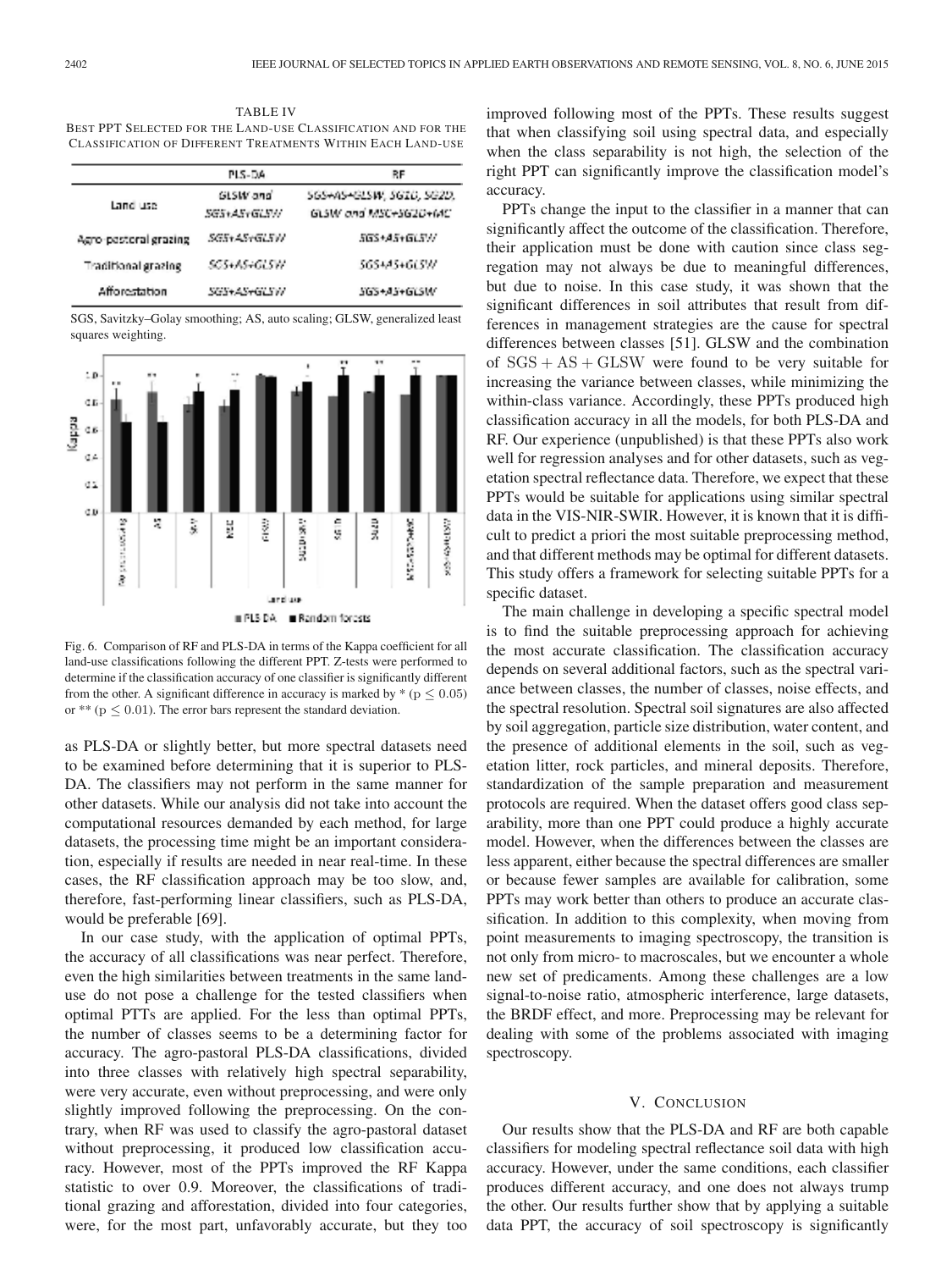TABLE IV BEST PPT SELECTED FOR THE LAND-USE CLASSIFICATION AND FOR THE CLASSIFICATION OF DIFFERENT TREATMENTS WITHIN EACH LAND-USE

|                       | PLS-DA                         | BF.                                              |
|-----------------------|--------------------------------|--------------------------------------------------|
| Land use              | GLSW and<br><b>SGS+AS+GLSM</b> | 5GS+AS+GLSW, 5G10, 5G2D,<br>GLSW and MSC+SG2D+MC |
| Agro-pastoral grazing | <i><b>SGS+AS+GLSVI</b></i>     | 555+45+615W                                      |
| Traditional grazing   | 565+A5+615W                    | 565+45+6(5)//                                    |
| Afforestation         | 565+A5+GLYV                    | 5GS+A5+GLSW                                      |

SGS, Savitzky–Golay smoothing; AS, auto scaling; GLSW, generalized least squares weighting.



Fig. 6. Comparison of RF and PLS-DA in terms of the Kappa coefficient for all land-use classifications following the different PPT. Z-tests were performed to determine if the classification accuracy of one classifier is significantly different from the other. A significant difference in accuracy is marked by  $*(p \le 0.05)$ or \*\* ( $p \leq 0.01$ ). The error bars represent the standard deviation.

as PLS-DA or slightly better, but more spectral datasets need to be examined before determining that it is superior to PLS-DA. The classifiers may not perform in the same manner for other datasets. While our analysis did not take into account the computational resources demanded by each method, for large datasets, the processing time might be an important consideration, especially if results are needed in near real-time. In these cases, the RF classification approach may be too slow, and, therefore, fast-performing linear classifiers, such as PLS-DA, would be preferable [69].

In our case study, with the application of optimal PPTs, the accuracy of all classifications was near perfect. Therefore, even the high similarities between treatments in the same landuse do not pose a challenge for the tested classifiers when optimal PTTs are applied. For the less than optimal PPTs, the number of classes seems to be a determining factor for accuracy. The agro-pastoral PLS-DA classifications, divided into three classes with relatively high spectral separability, were very accurate, even without preprocessing, and were only slightly improved following the preprocessing. On the contrary, when RF was used to classify the agro-pastoral dataset without preprocessing, it produced low classification accuracy. However, most of the PPTs improved the RF Kappa statistic to over 0.9. Moreover, the classifications of traditional grazing and afforestation, divided into four categories, were, for the most part, unfavorably accurate, but they too improved following most of the PPTs. These results suggest that when classifying soil using spectral data, and especially when the class separability is not high, the selection of the right PPT can significantly improve the classification model's accuracy.

PPTs change the input to the classifier in a manner that can significantly affect the outcome of the classification. Therefore, their application must be done with caution since class segregation may not always be due to meaningful differences, but due to noise. In this case study, it was shown that the significant differences in soil attributes that result from differences in management strategies are the cause for spectral differences between classes [51]. GLSW and the combination of  $SGS + AS + GLSW$  were found to be very suitable for increasing the variance between classes, while minimizing the within-class variance. Accordingly, these PPTs produced high classification accuracy in all the models, for both PLS-DA and RF. Our experience (unpublished) is that these PPTs also work well for regression analyses and for other datasets, such as vegetation spectral reflectance data. Therefore, we expect that these PPTs would be suitable for applications using similar spectral data in the VIS-NIR-SWIR. However, it is known that it is difficult to predict a priori the most suitable preprocessing method, and that different methods may be optimal for different datasets. This study offers a framework for selecting suitable PPTs for a specific dataset.

The main challenge in developing a specific spectral model is to find the suitable preprocessing approach for achieving the most accurate classification. The classification accuracy depends on several additional factors, such as the spectral variance between classes, the number of classes, noise effects, and the spectral resolution. Spectral soil signatures are also affected by soil aggregation, particle size distribution, water content, and the presence of additional elements in the soil, such as vegetation litter, rock particles, and mineral deposits. Therefore, standardization of the sample preparation and measurement protocols are required. When the dataset offers good class separability, more than one PPT could produce a highly accurate model. However, when the differences between the classes are less apparent, either because the spectral differences are smaller or because fewer samples are available for calibration, some PPTs may work better than others to produce an accurate classification. In addition to this complexity, when moving from point measurements to imaging spectroscopy, the transition is not only from micro- to macroscales, but we encounter a whole new set of predicaments. Among these challenges are a low signal-to-noise ratio, atmospheric interference, large datasets, the BRDF effect, and more. Preprocessing may be relevant for dealing with some of the problems associated with imaging spectroscopy.

# V. CONCLUSION

Our results show that the PLS-DA and RF are both capable classifiers for modeling spectral reflectance soil data with high accuracy. However, under the same conditions, each classifier produces different accuracy, and one does not always trump the other. Our results further show that by applying a suitable data PPT, the accuracy of soil spectroscopy is significantly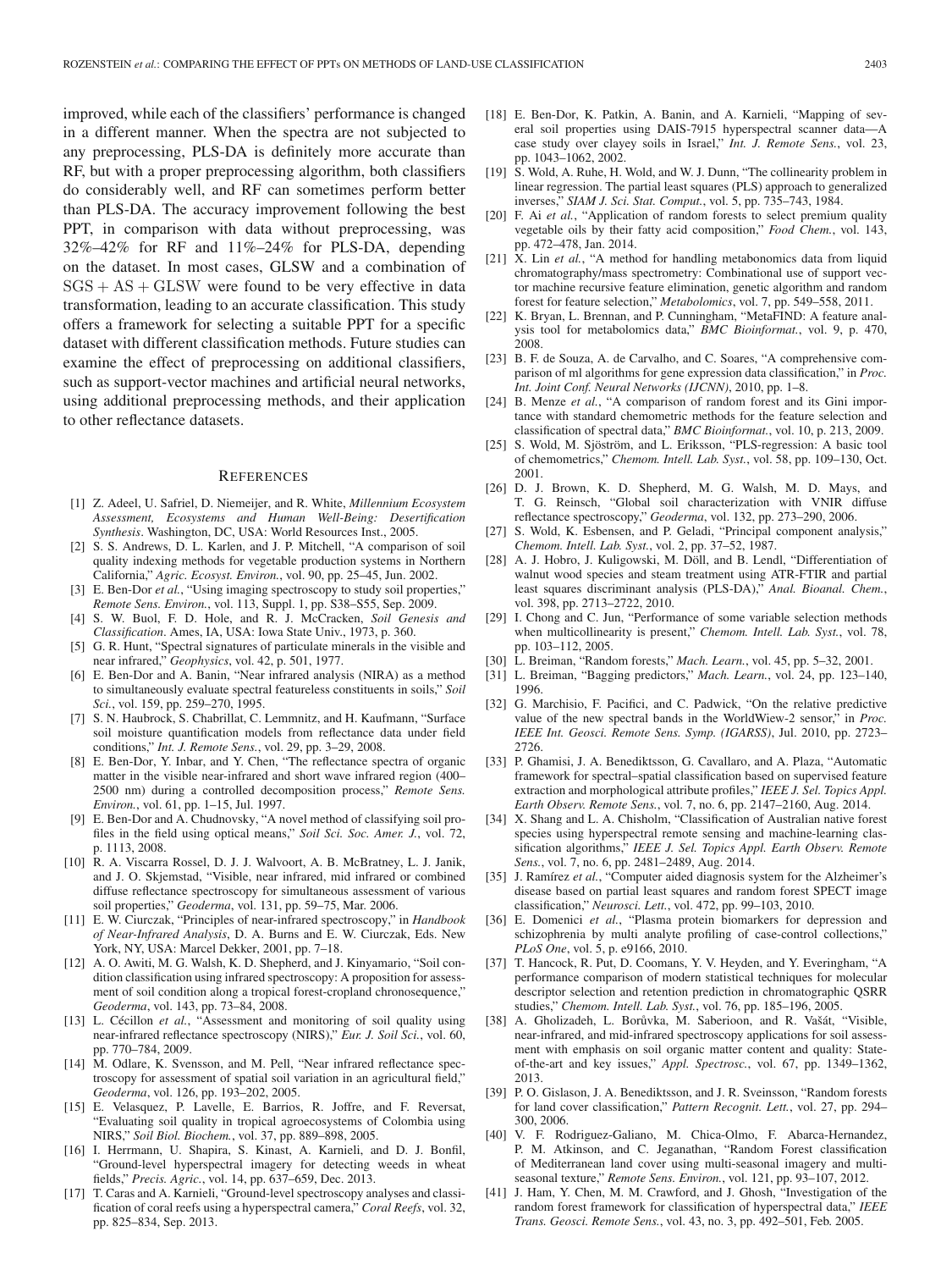improved, while each of the classifiers' performance is changed in a different manner. When the spectra are not subjected to any preprocessing, PLS-DA is definitely more accurate than RF, but with a proper preprocessing algorithm, both classifiers do considerably well, and RF can sometimes perform better than PLS-DA. The accuracy improvement following the best PPT, in comparison with data without preprocessing, was 32%–42% for RF and 11%–24% for PLS-DA, depending on the dataset. In most cases, GLSW and a combination of  $SGS + AS + GLSW$  were found to be very effective in data transformation, leading to an accurate classification. This study offers a framework for selecting a suitable PPT for a specific dataset with different classification methods. Future studies can examine the effect of preprocessing on additional classifiers, such as support-vector machines and artificial neural networks, using additional preprocessing methods, and their application to other reflectance datasets.

#### **REFERENCES**

- [1] Z. Adeel, U. Safriel, D. Niemeijer, and R. White, *Millennium Ecosystem Assessment, Ecosystems and Human Well-Being: Desertification Synthesis*. Washington, DC, USA: World Resources Inst., 2005.
- [2] S. S. Andrews, D. L. Karlen, and J. P. Mitchell, "A comparison of soil quality indexing methods for vegetable production systems in Northern California," *Agric. Ecosyst. Environ.*, vol. 90, pp. 25–45, Jun. 2002.
- [3] E. Ben-Dor et al., "Using imaging spectroscopy to study soil properties," *Remote Sens. Environ.*, vol. 113, Suppl. 1, pp. S38–S55, Sep. 2009.
- [4] S. W. Buol, F. D. Hole, and R. J. McCracken, *Soil Genesis and Classification*. Ames, IA, USA: Iowa State Univ., 1973, p. 360.
- [5] G. R. Hunt, "Spectral signatures of particulate minerals in the visible and near infrared," *Geophysics*, vol. 42, p. 501, 1977.
- [6] E. Ben-Dor and A. Banin, "Near infrared analysis (NIRA) as a method to simultaneously evaluate spectral featureless constituents in soils," *Soil Sci.*, vol. 159, pp. 259–270, 1995.
- [7] S. N. Haubrock, S. Chabrillat, C. Lemmnitz, and H. Kaufmann, "Surface soil moisture quantification models from reflectance data under field conditions," *Int. J. Remote Sens.*, vol. 29, pp. 3–29, 2008.
- [8] E. Ben-Dor, Y. Inbar, and Y. Chen, "The reflectance spectra of organic matter in the visible near-infrared and short wave infrared region (400– 2500 nm) during a controlled decomposition process," *Remote Sens. Environ.*, vol. 61, pp. 1–15, Jul. 1997.
- E. Ben-Dor and A. Chudnovsky, "A novel method of classifying soil profiles in the field using optical means," *Soil Sci. Soc. Amer. J.*, vol. 72, p. 1113, 2008.
- [10] R. A. Viscarra Rossel, D. J. J. Walvoort, A. B. McBratney, L. J. Janik, and J. O. Skjemstad, "Visible, near infrared, mid infrared or combined diffuse reflectance spectroscopy for simultaneous assessment of various soil properties," *Geoderma*, vol. 131, pp. 59–75, Mar. 2006.
- [11] E. W. Ciurczak, "Principles of near-infrared spectroscopy," in *Handbook of Near-Infrared Analysis*, D. A. Burns and E. W. Ciurczak, Eds. New York, NY, USA: Marcel Dekker, 2001, pp. 7–18.
- [12] A. O. Awiti, M. G. Walsh, K. D. Shepherd, and J. Kinyamario, "Soil condition classification using infrared spectroscopy: A proposition for assessment of soil condition along a tropical forest-cropland chronosequence," *Geoderma*, vol. 143, pp. 73–84, 2008.
- [13] L. Cécillon *et al.*, "Assessment and monitoring of soil quality using near-infrared reflectance spectroscopy (NIRS)," *Eur. J. Soil Sci.*, vol. 60, pp. 770–784, 2009.
- [14] M. Odlare, K. Svensson, and M. Pell, "Near infrared reflectance spectroscopy for assessment of spatial soil variation in an agricultural field," *Geoderma*, vol. 126, pp. 193–202, 2005.
- [15] E. Velasquez, P. Lavelle, E. Barrios, R. Joffre, and F. Reversat, "Evaluating soil quality in tropical agroecosystems of Colombia using NIRS," *Soil Biol. Biochem.*, vol. 37, pp. 889–898, 2005.
- [16] I. Herrmann, U. Shapira, S. Kinast, A. Karnieli, and D. J. Bonfil, "Ground-level hyperspectral imagery for detecting weeds in wheat fields," *Precis. Agric.*, vol. 14, pp. 637–659, Dec. 2013.
- [17] T. Caras and A. Karnieli, "Ground-level spectroscopy analyses and classification of coral reefs using a hyperspectral camera," *Coral Reefs*, vol. 32, pp. 825–834, Sep. 2013.
- [18] E. Ben-Dor, K. Patkin, A. Banin, and A. Karnieli, "Mapping of several soil properties using DAIS-7915 hyperspectral scanner data—A case study over clayey soils in Israel," *Int. J. Remote Sens.*, vol. 23, pp. 1043–1062, 2002.
- [19] S. Wold, A. Ruhe, H. Wold, and W. J. Dunn, "The collinearity problem in linear regression. The partial least squares (PLS) approach to generalized inverses," *SIAM J. Sci. Stat. Comput.*, vol. 5, pp. 735–743, 1984.
- [20] F. Ai *et al.*, "Application of random forests to select premium quality vegetable oils by their fatty acid composition," *Food Chem.*, vol. 143, pp. 472–478, Jan. 2014.
- [21] X. Lin *et al.*, "A method for handling metabonomics data from liquid chromatography/mass spectrometry: Combinational use of support vector machine recursive feature elimination, genetic algorithm and random forest for feature selection," *Metabolomics*, vol. 7, pp. 549–558, 2011.
- [22] K. Bryan, L. Brennan, and P. Cunningham, "MetaFIND: A feature analysis tool for metabolomics data," *BMC Bioinformat.*, vol. 9, p. 470, 2008.
- [23] B. F. de Souza, A. de Carvalho, and C. Soares, "A comprehensive comparison of ml algorithms for gene expression data classification," in *Proc. Int. Joint Conf. Neural Networks (IJCNN)*, 2010, pp. 1–8.
- [24] B. Menze *et al.*, "A comparison of random forest and its Gini importance with standard chemometric methods for the feature selection and classification of spectral data," *BMC Bioinformat.*, vol. 10, p. 213, 2009.
- [25] S. Wold, M. Sjöström, and L. Eriksson, "PLS-regression: A basic tool of chemometrics," *Chemom. Intell. Lab. Syst.*, vol. 58, pp. 109–130, Oct. 2001.
- [26] D. J. Brown, K. D. Shepherd, M. G. Walsh, M. D. Mays, and T. G. Reinsch, "Global soil characterization with VNIR diffuse reflectance spectroscopy," *Geoderma*, vol. 132, pp. 273–290, 2006.
- [27] S. Wold, K. Esbensen, and P. Geladi, "Principal component analysis," *Chemom. Intell. Lab. Syst.*, vol. 2, pp. 37–52, 1987.
- [28] A. J. Hobro, J. Kuligowski, M. Döll, and B. Lendl, "Differentiation of walnut wood species and steam treatment using ATR-FTIR and partial least squares discriminant analysis (PLS-DA)," *Anal. Bioanal. Chem.*, vol. 398, pp. 2713–2722, 2010.
- [29] I. Chong and C. Jun, "Performance of some variable selection methods when multicollinearity is present," *Chemom. Intell. Lab. Syst.*, vol. 78, pp. 103–112, 2005.
- [30] L. Breiman, "Random forests," *Mach. Learn.*, vol. 45, pp. 5–32, 2001.
- [31] L. Breiman, "Bagging predictors," *Mach. Learn.*, vol. 24, pp. 123–140, 1996.
- [32] G. Marchisio, F. Pacifici, and C. Padwick, "On the relative predictive value of the new spectral bands in the WorldWiew-2 sensor," in *Proc. IEEE Int. Geosci. Remote Sens. Symp. (IGARSS)*, Jul. 2010, pp. 2723– 2726.
- [33] P. Ghamisi, J. A. Benediktsson, G. Cavallaro, and A. Plaza, "Automatic framework for spectral–spatial classification based on supervised feature extraction and morphological attribute profiles," *IEEE J. Sel. Topics Appl. Earth Observ. Remote Sens.*, vol. 7, no. 6, pp. 2147–2160, Aug. 2014.
- [34] X. Shang and L. A. Chisholm, "Classification of Australian native forest species using hyperspectral remote sensing and machine-learning classification algorithms," *IEEE J. Sel. Topics Appl. Earth Observ. Remote Sens.*, vol. 7, no. 6, pp. 2481–2489, Aug. 2014.
- [35] J. Ramírez *et al.*, "Computer aided diagnosis system for the Alzheimer's disease based on partial least squares and random forest SPECT image classification," *Neurosci. Lett.*, vol. 472, pp. 99–103, 2010.
- [36] E. Domenici *et al.*, "Plasma protein biomarkers for depression and schizophrenia by multi analyte profiling of case-control collections," *PLoS One*, vol. 5, p. e9166, 2010.
- [37] T. Hancock, R. Put, D. Coomans, Y. V. Heyden, and Y. Everingham, "A performance comparison of modern statistical techniques for molecular descriptor selection and retention prediction in chromatographic QSRR studies," *Chemom. Intell. Lab. Syst.*, vol. 76, pp. 185–196, 2005.
- [38] A. Gholizadeh, L. Borůvka, M. Saberioon, and R. Vašát, "Visible, near-infrared, and mid-infrared spectroscopy applications for soil assessment with emphasis on soil organic matter content and quality: Stateof-the-art and key issues," *Appl. Spectrosc.*, vol. 67, pp. 1349–1362, 2013.
- [39] P. O. Gislason, J. A. Benediktsson, and J. R. Sveinsson, "Random forests for land cover classification," *Pattern Recognit. Lett.*, vol. 27, pp. 294– 300, 2006.
- [40] V. F. Rodriguez-Galiano, M. Chica-Olmo, F. Abarca-Hernandez, P. M. Atkinson, and C. Jeganathan, "Random Forest classification of Mediterranean land cover using multi-seasonal imagery and multiseasonal texture," *Remote Sens. Environ.*, vol. 121, pp. 93–107, 2012.
- [41] J. Ham, Y. Chen, M. M. Crawford, and J. Ghosh, "Investigation of the random forest framework for classification of hyperspectral data," *IEEE Trans. Geosci. Remote Sens.*, vol. 43, no. 3, pp. 492–501, Feb. 2005.